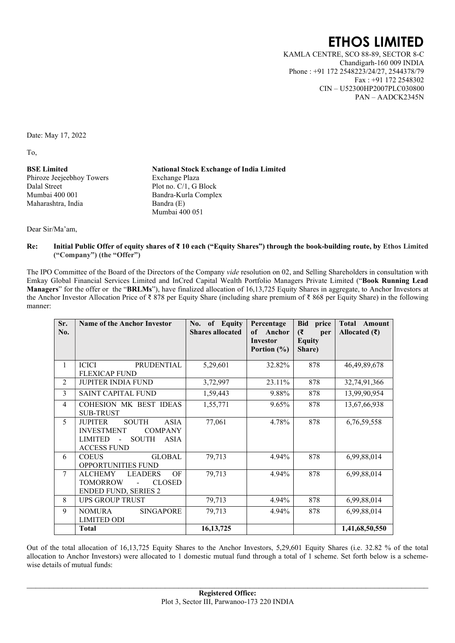## ETHOS LIMITED

 KAMLA CENTRE, SCO 88-89, SECTOR 8-C Chandigarh-160 009 INDIA Phone : +91 172 2548223/24/27, 2544378/79 Fax : +91 172 2548302 CIN – U52300HP2007PLC030800 PAN – AADCK2345N

Date: May 17, 2022

To,

BSE Limited Phiroze Jeejeebhoy Towers Dalal Street Mumbai 400 001 Maharashtra, India

National Stock Exchange of India Limited Exchange Plaza Plot no. C/1, G Block Bandra-Kurla Complex Bandra (E) Mumbai 400 051

Dear Sir/Ma'am,

Re: Initial Public Offer of equity shares of ₹ 10 each ("Equity Shares") through the book-building route, by Ethos Limited ("Company") (the "Offer")

The IPO Committee of the Board of the Directors of the Company vide resolution on 02, and Selling Shareholders in consultation with Emkay Global Financial Services Limited and InCred Capital Wealth Portfolio Managers Private Limited ("Book Running Lead Managers" for the offer or the "BRLMs"), have finalized allocation of 16,13,725 Equity Shares in aggregate, to Anchor Investors at the Anchor Investor Allocation Price of ₹ 878 per Equity Share (including share premium of ₹ 868 per Equity Share) in the following manner:

| Sr.<br>No.     | <b>Name of the Anchor Investor</b>                                                                                                                   | of Equity<br>No.<br><b>Shares allocated</b> | Percentage<br>of Anchor<br>Investor<br>Portion $(\% )$ | Bid price<br>(₹<br>per<br><b>Equity</b><br>Share) | Total Amount<br>Allocated $(\bar{\mathbf{\mathsf{z}}})$ |
|----------------|------------------------------------------------------------------------------------------------------------------------------------------------------|---------------------------------------------|--------------------------------------------------------|---------------------------------------------------|---------------------------------------------------------|
| 1              | <b>ICICI</b><br><b>PRUDENTIAL</b><br><b>FLEXICAP FUND</b>                                                                                            | 5,29,601                                    | 32.82%                                                 | 878                                               | 46, 49, 89, 678                                         |
| 2              | <b>JUPITER INDIA FUND</b>                                                                                                                            | 3,72,997                                    | 23.11%                                                 | 878                                               | 32,74,91,366                                            |
| 3              | <b>SAINT CAPITAL FUND</b>                                                                                                                            | 1,59,443                                    | 9.88%                                                  | 878                                               | 13,99,90,954                                            |
| $\overline{4}$ | COHESION MK BEST IDEAS<br><b>SUB-TRUST</b>                                                                                                           | 1,55,771                                    | 9.65%                                                  | 878                                               | 13,67,66,938                                            |
| 5              | <b>JUPITER</b><br><b>SOUTH</b><br><b>ASIA</b><br><b>INVESTMENT</b><br><b>COMPANY</b><br><b>LIMITED</b><br><b>SOUTH</b><br>ASIA<br><b>ACCESS FUND</b> | 77,061                                      | 4.78%                                                  | 878                                               | 6,76,59,558                                             |
| 6              | <b>COEUS</b><br><b>GLOBAL</b><br><b>OPPORTUNITIES FUND</b>                                                                                           | 79,713                                      | 4.94%                                                  | 878                                               | 6,99,88,014                                             |
| $\overline{7}$ | <b>ALCHEMY</b><br><b>LEADERS</b><br>OF<br><b>TOMORROW</b><br><b>CLOSED</b><br><b>ENDED FUND, SERIES 2</b>                                            | 79,713                                      | 4.94%                                                  | 878                                               | 6,99,88,014                                             |
| 8              | <b>UPS GROUP TRUST</b>                                                                                                                               | 79,713                                      | 4.94%                                                  | 878                                               | 6,99,88,014                                             |
| 9              | <b>NOMURA</b><br><b>SINGAPORE</b><br><b>LIMITED ODI</b>                                                                                              | 79,713                                      | 4.94%                                                  | 878                                               | 6,99,88,014                                             |
|                | <b>Total</b>                                                                                                                                         | 16, 13, 725                                 |                                                        |                                                   | 1,41,68,50,550                                          |

Out of the total allocation of 16,13,725 Equity Shares to the Anchor Investors, 5,29,601 Equity Shares (i.e. 32.82 % of the total allocation to Anchor Investors) were allocated to 1 domestic mutual fund through a total of 1 scheme. Set forth below is a schemewise details of mutual funds: